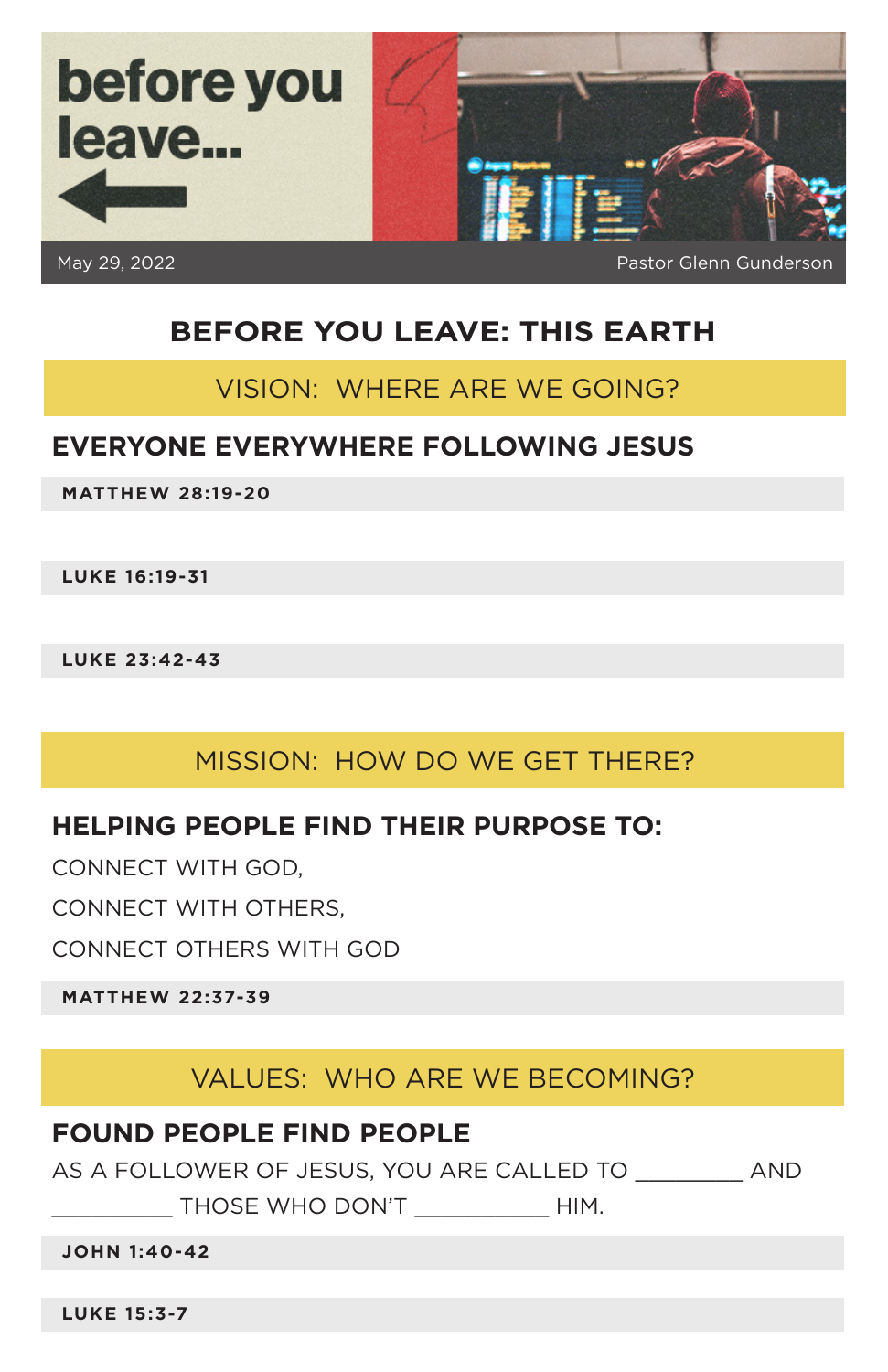

# **BEFORE YOU LEAVE: THIS EARTH**

## VISION: WHERE ARE WE GOING?

### **EVERYONE EVERYWHERE FOLLOWING JESUS**

**MATTHEW 28:19-20**

**LUKE 16:19-31**

**LUKE 23:42-43**

## MISSION: HOW DO WE GET THERE?

### **HELPING PEOPLE FIND THEIR PURPOSE TO:**

CONNECT WITH GOD,

CONNECT WITH OTHERS,

CONNECT OTHERS WITH GOD

**MATTHEW 22:37-39**

## VALUES: WHO ARE WE BECOMING?

### **FOUND PEOPLE FIND PEOPLE**

AS A FOLLOWER OF JESUS, YOU ARE CALLED TO AND

THOSE WHO DON'T THIM.

**JOHN 1:40-42**

**LUKE 15:3-7**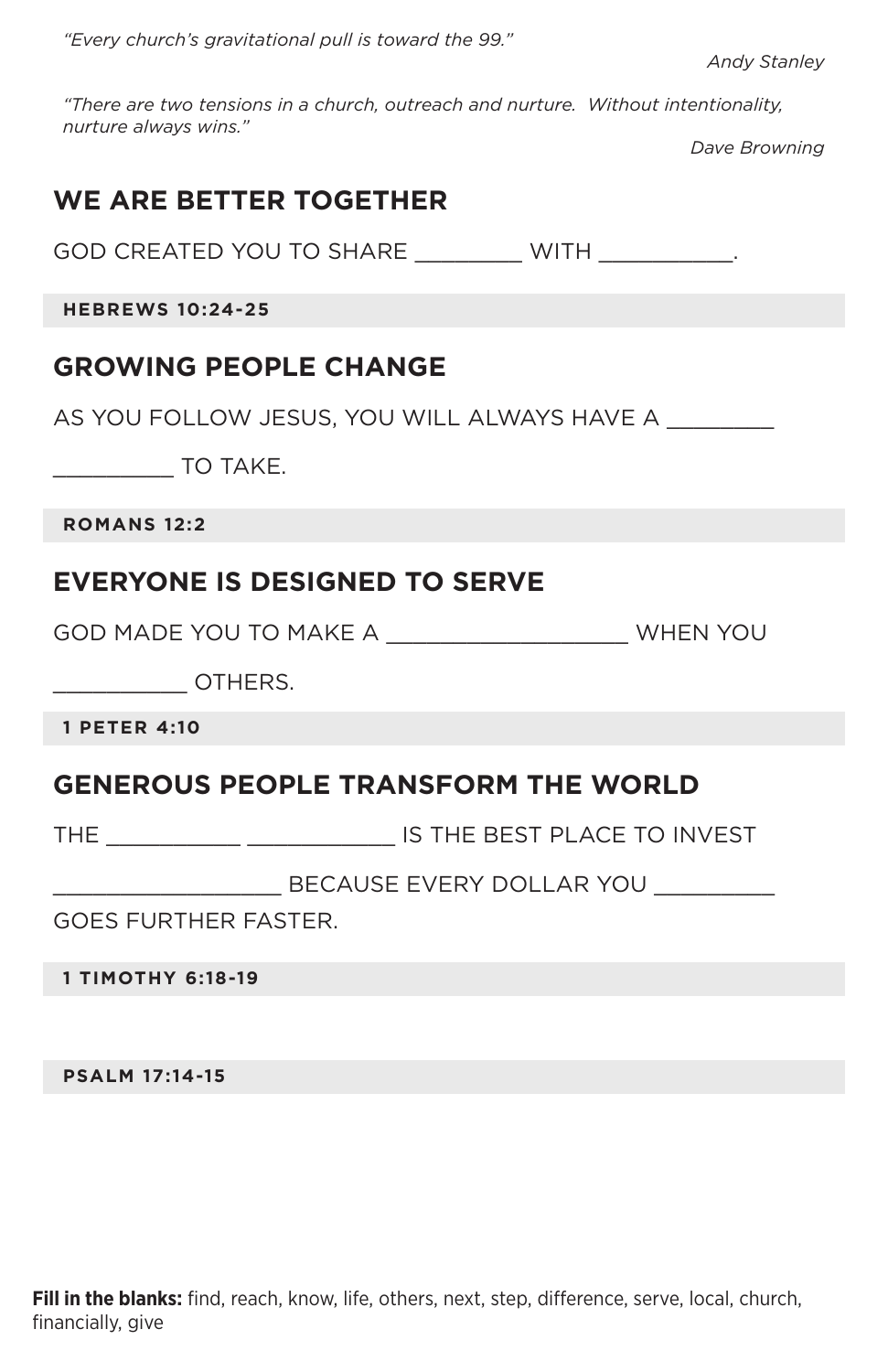*"Every church's gravitational pull is toward the 99."*

*Andy Stanley*

*"There are two tensions in a church, outreach and nurture. Without intentionality, nurture always wins."*

*Dave Browning*

## **WE ARE BETTER TOGETHER**

GOD CREATED YOU TO SHARE \_\_\_\_\_\_\_\_\_\_\_ WITH \_\_\_\_\_\_\_\_\_\_.

**HEBREWS 10:24-25**

### **GROWING PEOPLE CHANGE**

AS YOU FOLLOW JESUS, YOU WILL ALWAYS HAVE A \_\_\_\_\_\_\_\_

\_\_\_\_\_\_\_\_\_ TO TAKE.

**ROMANS 12:2**

### **EVERYONE IS DESIGNED TO SERVE**

GOD MADE YOU TO MAKE A \_\_\_\_\_\_\_\_\_\_\_\_\_\_\_\_\_\_ WHEN YOU

 $\overline{O}$ THERS.

**1 PETER 4:10**

### **GENEROUS PEOPLE TRANSFORM THE WORLD**

THE \_\_\_\_\_\_\_\_\_\_\_ \_\_\_\_\_\_\_\_\_\_\_\_\_\_\_ IS THE BEST PLACE TO INVEST

BECAUSE EVERY DOLLAR YOU

GOES FURTHER FASTER.

**1 TIMOTHY 6:18-19**

**PSALM 17:14-15**

**Fill in the blanks:** find, reach, know, life, others, next, step, difference, serve, local, church, financially, give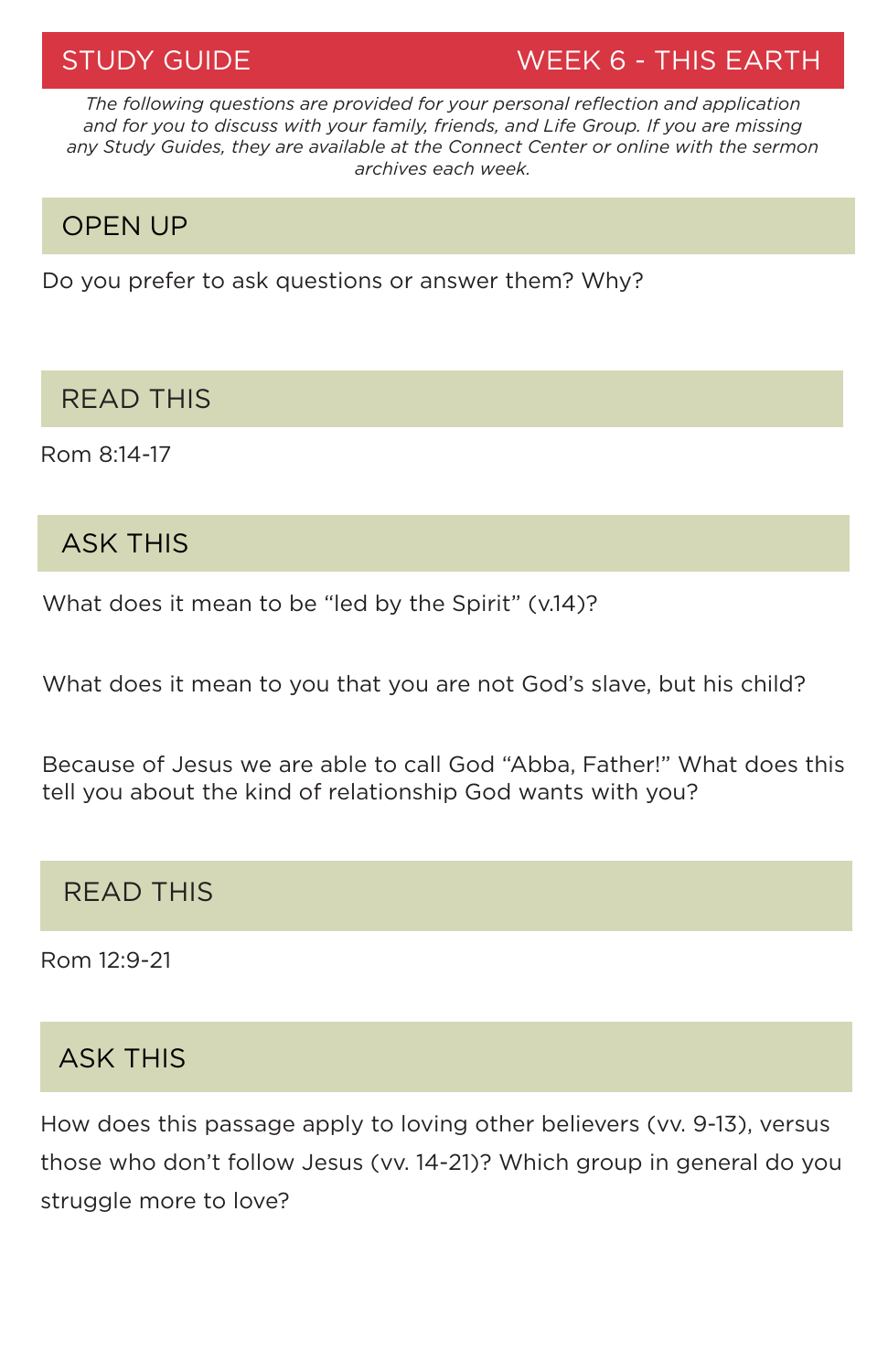STUDY GUIDE WEEK 6 - THIS EARTH

*The following questions are provided for your personal reflection and application and for you to discuss with your family, friends, and Life Group. If you are missing any Study Guides, they are available at the Connect Center or online with the sermon archives each week.*

## OPEN UP

Do you prefer to ask questions or answer them? Why?

## READ THIS

Rom 8:14-17

# ASK THIS

What does it mean to be "led by the Spirit" (v.14)?

What does it mean to you that you are not God's slave, but his child?

Because of Jesus we are able to call God "Abba, Father!" What does this tell you about the kind of relationship God wants with you?

# READ THIS

Rom 12:9-21

# ASK THIS

How does this passage apply to loving other believers (vv. 9-13), versus those who don't follow Jesus (vv. 14-21)? Which group in general do you struggle more to love?